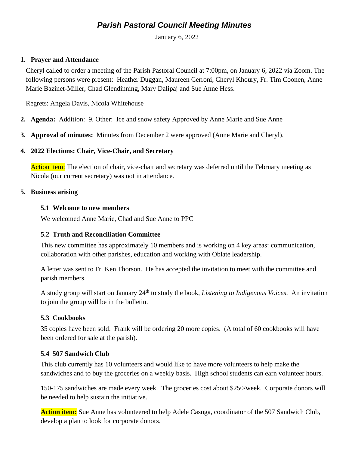# *Parish Pastoral Council Meeting Minutes*

January 6, 2022

### **1. Prayer and Attendance**

Cheryl called to order a meeting of the Parish Pastoral Council at 7:00pm, on January 6, 2022 via Zoom. The following persons were present: Heather Duggan, Maureen Cerroni, Cheryl Khoury, Fr. Tim Coonen, Anne Marie Bazinet-Miller, Chad Glendinning, Mary Dalipaj and Sue Anne Hess.

Regrets: Angela Davis, Nicola Whitehouse

- **2. Agenda:** Addition: 9. Other: Ice and snow safety Approved by Anne Marie and Sue Anne
- **3. Approval of minutes:** Minutes from December 2 were approved (Anne Marie and Cheryl).

### **4. 2022 Elections: Chair, Vice-Chair, and Secretary**

**Action item:** The election of chair, vice-chair and secretary was deferred until the February meeting as Nicola (our current secretary) was not in attendance.

### **5. Business arising**

### **5.1 Welcome to new members**

We welcomed Anne Marie, Chad and Sue Anne to PPC

# **5.2 Truth and Reconciliation Committee**

This new committee has approximately 10 members and is working on 4 key areas: communication, collaboration with other parishes, education and working with Oblate leadership.

A letter was sent to Fr. Ken Thorson. He has accepted the invitation to meet with the committee and parish members.

A study group will start on January 24th to study the book, *Listening to Indigenous Voices*. An invitation to join the group will be in the bulletin.

# **5.3 Cookbooks**

35 copies have been sold. Frank will be ordering 20 more copies. (A total of 60 cookbooks will have been ordered for sale at the parish).

# **5.4 507 Sandwich Club**

This club currently has 10 volunteers and would like to have more volunteers to help make the sandwiches and to buy the groceries on a weekly basis. High school students can earn volunteer hours.

150-175 sandwiches are made every week. The groceries cost about \$250/week. Corporate donors will be needed to help sustain the initiative.

**Action item:** Sue Anne has volunteered to help Adele Casuga, coordinator of the 507 Sandwich Club, develop a plan to look for corporate donors.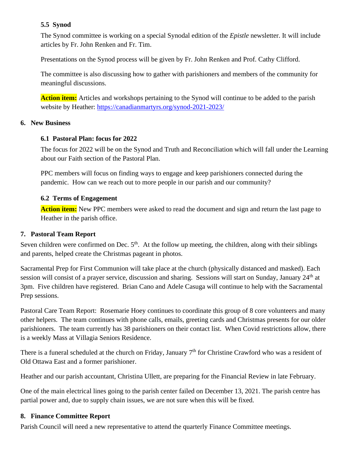# **5.5 Synod**

The Synod committee is working on a special Synodal edition of the *Epistle* newsletter. It will include articles by Fr. John Renken and Fr. Tim.

Presentations on the Synod process will be given by Fr. John Renken and Prof. Cathy Clifford.

The committee is also discussing how to gather with parishioners and members of the community for meaningful discussions.

**Action item:** Articles and workshops pertaining to the Synod will continue to be added to the parish website by Heather:<https://canadianmartyrs.org/synod-2021-2023/>

# **6. New Business**

# **6.1 Pastoral Plan: focus for 2022**

The focus for 2022 will be on the Synod and Truth and Reconciliation which will fall under the Learning about our Faith section of the Pastoral Plan.

PPC members will focus on finding ways to engage and keep parishioners connected during the pandemic. How can we reach out to more people in our parish and our community?

# **6.2 Terms of Engagement**

**Action item:** New PPC members were asked to read the document and sign and return the last page to Heather in the parish office.

# **7. Pastoral Team Report**

Seven children were confirmed on Dec.  $5<sup>th</sup>$ . At the follow up meeting, the children, along with their siblings and parents, helped create the Christmas pageant in photos.

Sacramental Prep for First Communion will take place at the church (physically distanced and masked). Each session will consist of a prayer service, discussion and sharing. Sessions will start on Sunday, January 24<sup>th</sup> at 3pm. Five children have registered. Brian Cano and Adele Casuga will continue to help with the Sacramental Prep sessions.

Pastoral Care Team Report: Rosemarie Hoey continues to coordinate this group of 8 core volunteers and many other helpers. The team continues with phone calls, emails, greeting cards and Christmas presents for our older parishioners. The team currently has 38 parishioners on their contact list. When Covid restrictions allow, there is a weekly Mass at Villagia Seniors Residence.

There is a funeral scheduled at the church on Friday, January 7<sup>th</sup> for Christine Crawford who was a resident of Old Ottawa East and a former parishioner.

Heather and our parish accountant, Christina Ullett, are preparing for the Financial Review in late February.

One of the main electrical lines going to the parish center failed on December 13, 2021. The parish centre has partial power and, due to supply chain issues, we are not sure when this will be fixed.

# **8. Finance Committee Report**

Parish Council will need a new representative to attend the quarterly Finance Committee meetings.